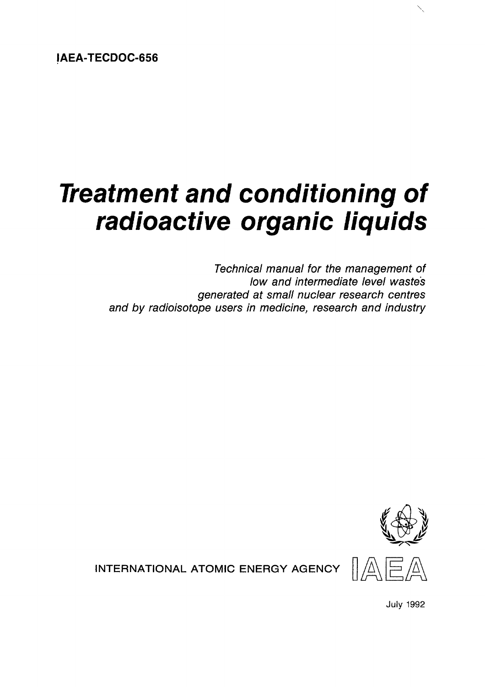**IAEA-TECDOC-656**

# *Treatment and conditioning of radioactive organic liquids*

*Technical manual for the management of low and intermediate level waste's generated at small nuclear research centres and by radioisotope users in medicine, research and industry*



**INTERNATIONAL ATOMIC ENERGY AGENCY**  $\frac{1}{\sqrt{2}}$ 

July 1992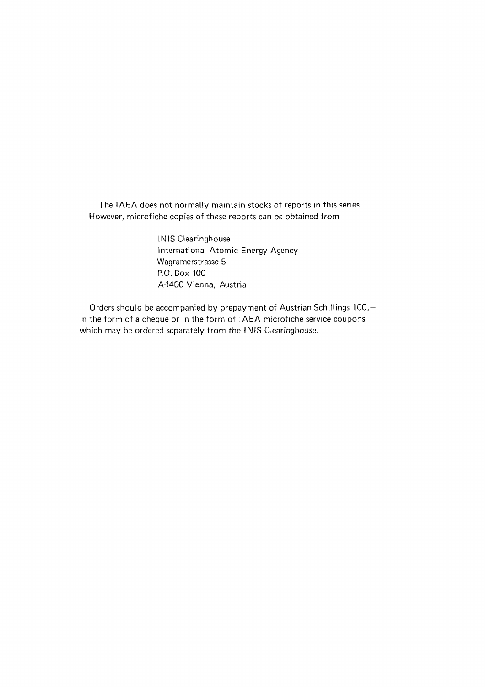The IAEA does not normally maintain stocks of reports in this series. However, microfiche copies of these reports can be obtained from

> INIS Clearinghouse International Atomic Energy Agency Wagramerstrasse 5 P.O. Box 100 A-1400 Vienna, Austria

Orders should be accompanied by prepayment of Austrian Schillings 100, in the form of a cheque or in the form of IAEA microfiche service coupons which may be ordered separately from the INIS Clearinghouse.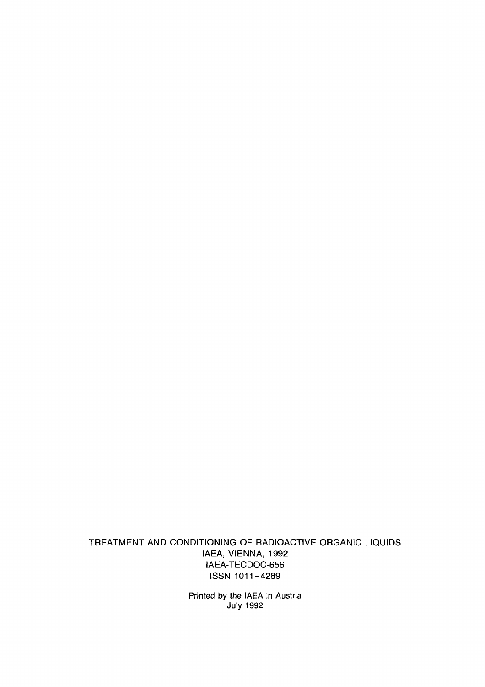TREATMENT AND CONDITIONING OF RADIOACTIVE ORGANIC LIQUIDS IAEA, VIENNA, 1992 IAEA-TECDOC-656 ISSN 1011-4289

> Printed by the IAEA in Austria July 1992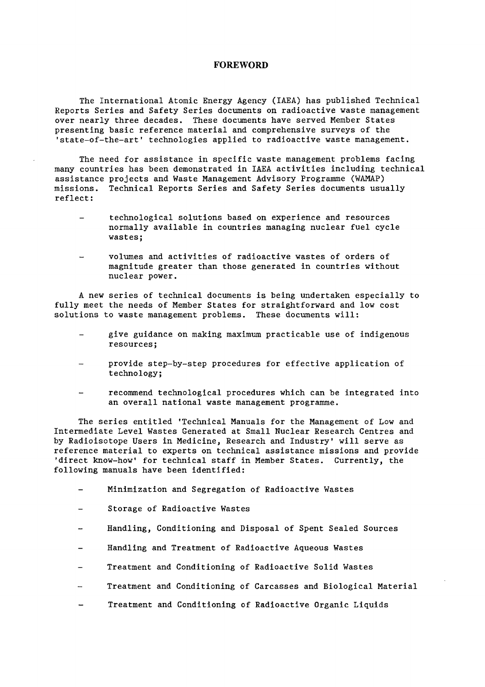#### **FOREWORD**

The International Atomic Energy Agency (IAEA) has published Technical Reports Series and Safety Series documents on radioactive waste management over nearly three decades. These documents have served Member States presenting basic reference material and comprehensive surveys of the 'state-of-the-art' technologies applied to radioactive waste management.

The need for assistance in specific waste management problems facing many countries has been demonstrated in IAEA activities including technical assistance projects and Waste Management Advisory Programme (WAMAP) missions. Technical Reports Series and Safety Series documents usually reflect:

- technological solutions based on experience and resources normally available in countries managing nuclear fuel cycle wastes;
- volumes and activities of radioactive wastes of orders of magnitude greater than those generated in countries without nuclear power.

A new series of technical documents is being undertaken especially to fully meet the needs of Member States for straightforward and low cost solutions to waste management problems. These documents will:

- give guidance on making maximum practicable use of indigenous resources;
- provide step-by-step procedures for effective application of technology;
- recommend technological procedures which can be integrated into an overall national waste management programme.

The series entitled 'Technical Manuals for the Management of Low and Intermediate Level Wastes Generated at Small Nuclear Research Centres and by Radioisotope Users in Medicine, Research and Industry' will serve as reference material to experts on technical assistance missions and provide 'direct know-how' for technical staff in Member States. Currently, the following manuals have been identified:

- Minimization and Segregation of Radioactive Wastes
- Storage of Radioactive Wastes
- Handling, Conditioning and Disposal of Spent Sealed Sources
- Handling and Treatment of Radioactive Aqueous Wastes
- Treatment and Conditioning of Radioactive Solid Wastes
- Treatment and Conditioning of Carcasses and Biological Material
- Treatment and Conditioning of Radioactive Organic Liquids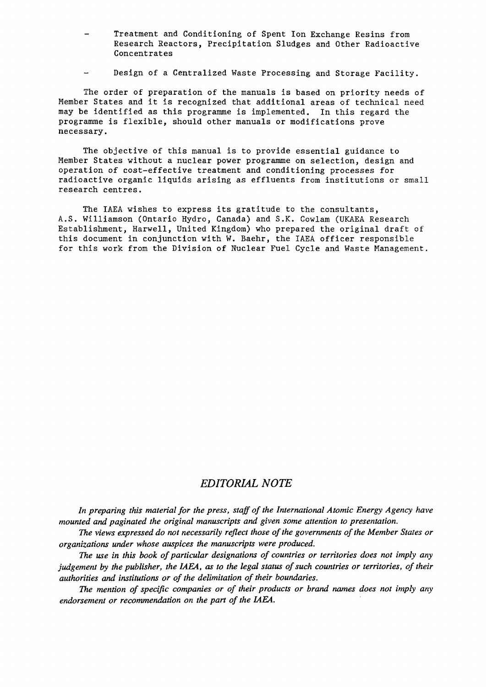- Treatment and Conditioning of Spent Ion Exchange Resins from Research Reactors, Precipitation Sludges and Other Radioactive Concentrates
- Design of a Centralized Waste Processing and Storage Facility.

The order of preparation of the manuals is based on priority needs of Member States and it is recognized that additional areas of technical need may be identified as this programme is implemented. In this regard the programme is flexible, should other manuals or modifications prove necessary.

The objective of this manual is to provide essential guidance to Member States without a nuclear power programme on selection, design and operation of cost-effective treatment and conditioning processes for radioactive organic liquids arising as effluents from institutions or small research centres.

The IAEA wishes to express its gratitude to the consultants, A.S. Williamson (Ontario Hydro, Canada) and S.K. Cowlam (UKAEA Research Establishment, Harwell, United Kingdom) who prepared the original draft of this document in conjunction with W. Baehr, the IAEA officer responsible for this work from the Division of Nuclear Fuel Cycle and Waste Management.

# *EDITORIAL NOTE*

*In preparing this material for the press, staff of the International Atomic Energy Agency have mounted and paginated the original manuscripts and given some attention to presentation.*

*The views expressed do not necessarily reflect those of the governments of the Member States or organizations under whose auspices the manuscripts were produced.*

*The use in this book of particular designations of countries or territories does not imply any judgement by the publisher, the IAEA, as to the legal status of such countries or territories, of their authorities and institutions or of the delimitation of their boundaries.*

*The mention of specific companies or of their products or brand names does not imply any endorsement or recommendation on the part of the IAEA.*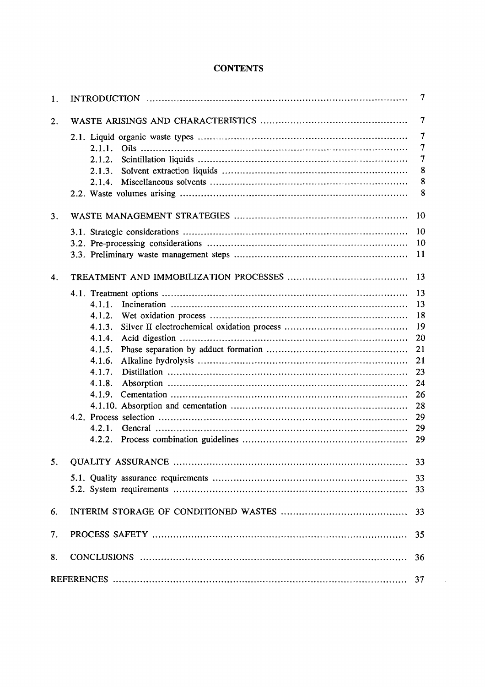# **CONTENTS**

| 1. |        | 7              |
|----|--------|----------------|
| 2. |        | $\tau$         |
|    |        | 7              |
|    | 2.1.1. | $\tau$         |
|    | 2.1.2. | $\overline{7}$ |
|    | 2.1.3. | 8              |
|    | 2.1.4. | 8              |
|    |        | 8              |
| 3. |        | 10             |
|    |        | 10             |
|    |        | 10             |
|    |        | <b>11</b>      |
| 4. |        | 13             |
|    |        | 13             |
|    | 4.1.1. | 13             |
|    | 4.1.2. | 18             |
|    | 4.1.3. | 19             |
|    | 4.1.4. | 20             |
|    | 4.1.5. | 21             |
|    | 4.1.6. | 21             |
|    | 4.1.7. | 23             |
|    | 4.1.8. | 24             |
|    | 4.1.9. | 26             |
|    |        | 28             |
|    |        | 29             |
|    | 4.2.1. | 29             |
|    | 4.2.2. | 29             |
| 5. |        | 33             |
|    |        | 33             |
|    |        | 33             |
| 6. |        | 33             |
| 7. |        | 35             |
| 8. |        | 36             |
|    |        | 37             |

 $\mathcal{A}^{\text{out}}$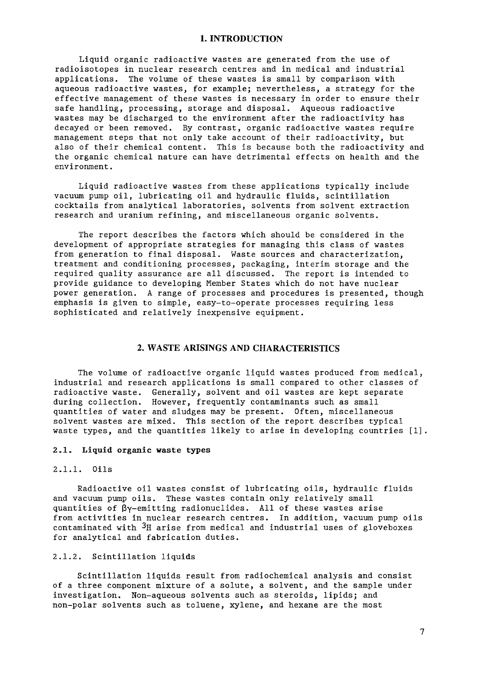## **1. INTRODUCTION**

Liquid organic radioactive wastes are generated from the use of radioisotopes in nuclear research centres and in medical and industrial applications. The volume of these wastes is small by comparison with aqueous radioactive wastes, for example; nevertheless, a strategy for the effective management of these wastes is necessary in order to ensure their safe handling, processing, storage and disposal. Aqueous radioactive wastes may be discharged to the environment after the radioactivity has decayed or been removed. By contrast, organic radioactive wastes require management steps that not only take account of their radioactivity, but also of their chemical content. This is because both the radioactivity and the organic chemical nature can have detrimental effects on health and the environment.

Liquid radioactive wastes from these applications typically include vacuum pump oil, lubricating oil and hydraulic fluids, scintillation cocktails from analytical laboratories, solvents from solvent extraction research and uranium refining, and miscellaneous organic solvents.

The report describes the factors which should be considered in the development of appropriate strategies for managing this class of wastes from generation to final disposal. Waste sources and characterization, treatment and conditioning processes, packaging, interim storage and the required quality assurance are all discussed. The report is intended to provide guidance to developing Member States which do not have nuclear power generation. A range of processes and procedures is presented, though emphasis is given to simple, easy-to-operate processes requiring less sophisticated and relatively inexpensive equipment.

# **2. WASTE ARISINGS AND CHARACTERISTICS**

The volume of radioactive organic liquid wastes produced from medical, industrial and research applications is small compared to other classes of radioactive waste. Generally, solvent and oil wastes are kept separate during collection. However, frequently contaminants such as small quantities of water and sludges may be present. Often, miscellaneous solvent wastes are mixed. This section of the report describes typical waste types, and the quantities likely to arise in developing countries [1].

# **2.1. Liquid organic waste types**

#### 2.1.1. Oils

Radioactive oil wastes consist of lubricating oils, hydraulic fluids and vacuum pump oils. These wastes contain only relatively small quantities of ßy-emitting radionuclides. All of these wastes arise from activities in nuclear research centres. In addition, vacuum pump oils contaminated with  $3H$  arise from medical and industrial uses of gloveboxes for analytical and fabrication duties.

# 2.1.2. Scintillation liquids

Scintillation liquids result from radiochemical analysis and consist of a three component mixture of a solute, a solvent, and the sample under investigation. Non-aqueous solvents such as steroids, lipids; and non-polar solvents such as toluene, xylene, and hexane are the most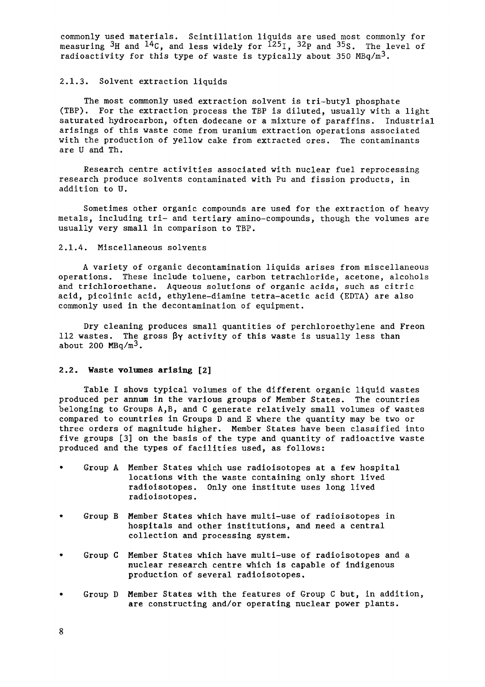commonly used materials. Scintillation liquids are used most commonly for measuring  ${}^{3}H$  and  ${}^{14}C$ , and less widely for  ${}^{12}S_I$ ,  ${}^{32}P$  and  ${}^{35}S$ . The level of radioactivity for this type of waste is typically about 350  $MBq/m<sup>3</sup>$ .

# 2.1.3. Solvent extraction liquids

The most commonly used extraction solvent is tri-butyl phosphate (TBP). For the extraction process the TBP is diluted, usually with a light saturated hydrocarbon, often dodecane or a mixture of paraffins. Industrial arisings of this waste come from uranium extraction operations associated with the production of yellow cake from extracted ores. The contaminants are U and Th.

Research centre activities associated with nuclear fuel reprocessing research produce solvents contaminated with Pu and fission products, in addition to U.

Sometimes other organic compounds are used for the extraction of heavy metals, including tri- and tertiary amino-compounds, though the volumes are usually very small in comparison to TBP.

#### 2.1.4. Miscellaneous solvents

A variety of organic decontamination liquids arises from miscellaneous operations. These include toluene, carbon tetrachloride, acetone, alcohols and trichloroethane. Aqueous solutions of organic acids, such as citric acid, picolinic acid, ethylene-diamine tetra-acetic acid (EDTA) are also commonly used in the decontamination of equipment.

Dry cleaning produces small quantities of perchloroethylene and Freon 112 wastes. The gross  $\beta y$  activity of this waste is usually less than about 200  $MBq/m<sup>3</sup>$ .

#### 2.2. Waste volumes arising [2]

Table I shows typical volumes of the different organic liquid wastes produced per annum in the various groups of Member States. The countries belonging to Groups A,B, and C generate relatively small volumes of wastes compared to countries in Groups D and E where the quantity may be two or three orders of magnitude higher. Member States have been classified into five groups [3] on the basis of the type and quantity of radioactive waste produced and the types of facilities used, as follows:

- Group A Member States which use radioisotopes at a few hospital locations with the waste containing only short lived radioisotopes. Only one institute uses long lived radioisotopes.
- Group B Member States which have multi-use of radioisotopes in hospitals and other institutions, and need a central collection and processing system.
- Group C Member States which have multi-use of radioisotopes and a nuclear research centre which is capable of indigenous production of several radioisotopes.
- Group D Member States with the features of Group C but, in addition, are constructing and/or operating nuclear power plants.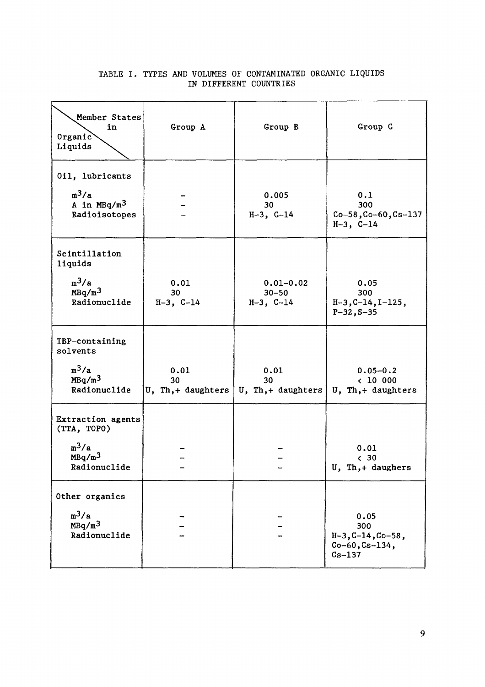|  |  |  | TABLE I. TYPES AND VOLUMES OF CONTAMINATED ORGANIC LIQUIDS |  |
|--|--|--|------------------------------------------------------------|--|
|  |  |  | IN DIFFERENT COUNTRIES                                     |  |

| Member States<br>in<br>$0$ rganic<br>Liquids                                      | Group A                         | Group B                                    | Group C                                                              |  |
|-----------------------------------------------------------------------------------|---------------------------------|--------------------------------------------|----------------------------------------------------------------------|--|
| 0il, lubricants<br>$m^3/a$<br>A in $MBq/m3$<br>Radioisotopes                      |                                 | 0.005<br>30<br>$H-3$ , $C-14$              | 0.1<br>300<br>$Co-58, Co-60, Cs-137$<br>$H-3$ , $C-14$               |  |
| Scintillation<br>liquids<br>$m^3/a$<br>MBq/m <sup>3</sup><br>Radionuclide         | 0.01<br>30<br>$H-3$ , C-14      | $0.01 - 0.02$<br>$30 - 50$<br>$H-3$ , C-14 | 0.05<br>300<br>$H-3, C-14, I-125,$<br>$P-32, S-35$                   |  |
| TBP-containing<br>solvents<br>$m^3/a$<br>MBq/m <sup>3</sup><br>Radionuclide       | 0.01<br>30<br>U, Th,+ daughters | 0.01<br>30<br>U, Th, + daughters $ $       | $0.05 - 0.2$<br>& 10000<br>U, Th,+ daughters                         |  |
| Extraction agents<br>(TTA, TOPO)<br>$m^3/a$<br>MBq/m <sup>3</sup><br>Radionuclide |                                 |                                            | 0.01<br>& 30<br>U, Th,+ daughers                                     |  |
| Other organics<br>$m^3/a$<br>MBq/m <sup>3</sup><br>Radionuclide                   |                                 |                                            | 0.05<br>300<br>$H-3, C-14, Co-58,$<br>$Co-60, Cs-134,$<br>$Cs - 137$ |  |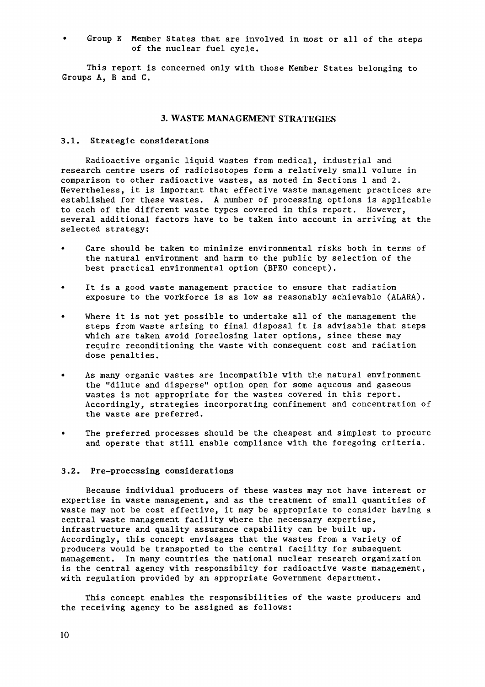• Group E Member States that are involved in most or all of the steps of the nuclear fuel cycle.

This report is concerned only with those Member States belonging to Groups A, B and C.

# **3. WASTE** MANAGEMENT STRATEGIES

#### 3.1. Strategic considerations

Radioactive organic liquid wastes from medical, industrial and research centre users of radioisotopes form a relatively small volume in comparison to other radioactive wastes, as noted in Sections 1 and 2. Nevertheless, it is important that effective waste management practices are established for these wastes. A number of processing options is applicable to each of the different waste types covered in this report. However, several additional factors have to be taken into account in arriving at the selected strategy:

- Care should be taken to minimize environmental risks both in terms of the natural environment and harm to the public by selection of the best practical environmental option (BPEO concept).
- It is a good waste management practice to ensure that radiation exposure to the workforce is as low as reasonably achievable (ALARA).
- Where it is not yet possible to undertake all of the management the steps from waste arising to final disposal it is advisable that steps which are taken avoid foreclosing later options, since these may require reconditioning the waste with consequent cost and radiation dose penalties.
- As many organic wastes are incompatible with the natural environment the "dilute and disperse" option open for some aqueous and gaseous wastes is not appropriate for the wastes covered in this report. Accordingly, strategies incorporating confinement and concentration of the waste are preferred.
- The preferred processes should be the cheapest and simplest to procure and operate that still enable compliance with the foregoing criteria.

## 3.2. Pre-processing considerations

Because individual producers of these wastes may not have interest or expertise in waste management, and as the treatment of small quantities of waste may not be cost effective, it may be appropriate to consider having a central waste management facility where the necessary expertise, infrastructure and quality assurance capability can be built up. Accordingly, this concept envisages that the wastes from a variety of producers would be transported to the central facility for subsequent management. In many countries the national nuclear research organization is the central agency with responsibilty for radioactive waste management, with regulation provided by an appropriate Government department.

This concept enables the responsibilities of the waste producers and the receiving agency to be assigned as follows: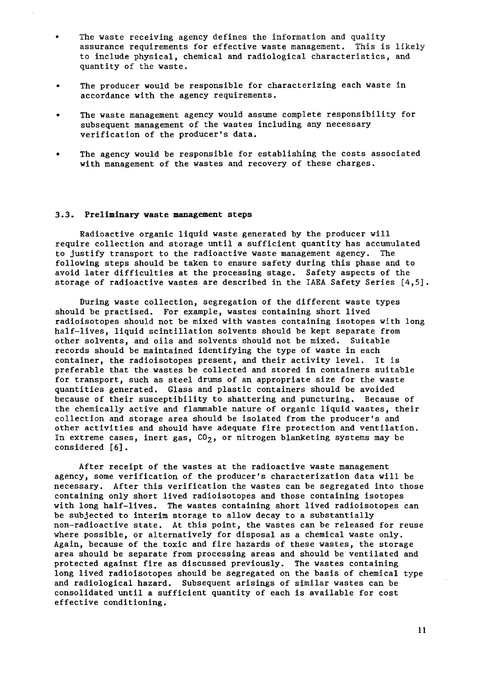- The waste receiving agency defines the information and quality assurance requirements for effective waste management. This is likely to include physical, chemical and radiological characteristics, and quantity of the waste.
- The producer would be responsible for characterizing each waste in accordance with the agency requirements.
- The waste management agency would assume complete responsibility for subsequent management of the wastes including any necessary verification of the producer's data.
- The agency would be responsible for establishing the costs associated with management of the wastes and recovery of these charges.

#### 3.3. Preliminary waste management steps

Radioactive organic liquid waste generated by the producer will require collection and storage until a sufficient quantity has accumulated to justify transport to the radioactive waste management agency. The following steps should be taken to ensure safety during this phase and to avoid later difficulties at the processing stage. Safety aspects of the storage of radioactive wastes are described in the IAEA Safety Series [4,5].

During waste collection, segregation of the different waste types should be practised. For example, wastes containing short lived radioisotopes should not be mixed with wastes containing isotopes with long half-lives, liquid scintillation solvents should be kept separate from other solvents, and oils and solvents should not be mixed. Suitable records should be maintained identifying the type of waste in each container, the radioisotopes present, and their activity level. It is preferable that the wastes be collected and stored in containers suitable for transport, such as steel drums of an appropriate size for the waste quantities generated. Glass and plastic containers should be avoided because of their susceptibility to shattering and puncturing. Because of the chemically active and flammable nature of organic liquid wastes, their collection and storage area should be isolated from the producer's and other activities and should have adequate fire protection and ventilation. In extreme cases, inert gas,  $CO<sub>2</sub>$ , or nitrogen blanketing systems may be considered [6].

After receipt of the wastes at the radioactive waste management agency, some verification of the producer's characterization data will be necessary. After this verification the wastes can be segregated into those containing only short lived radioisotopes and those containing isotopes with long half-lives. The wastes containing short lived radioisotopes can be subjected to interim storage to allow decay to a substantially non-radioactive state. At this point, the wastes can be released for reuse where possible, or alternatively for disposal as a chemical waste only. Again, because of the toxic and fire hazards of these wastes, the storage area should be separate from processing areas and should be ventilated and protected against fire as discussed previously. The wastes containing long lived radioisotopes should be segregated on the basis of chemical type and radiological hazard. Subsequent arisings of similar wastes can be consolidated until a sufficient quantity of each is available for cost effective conditioning.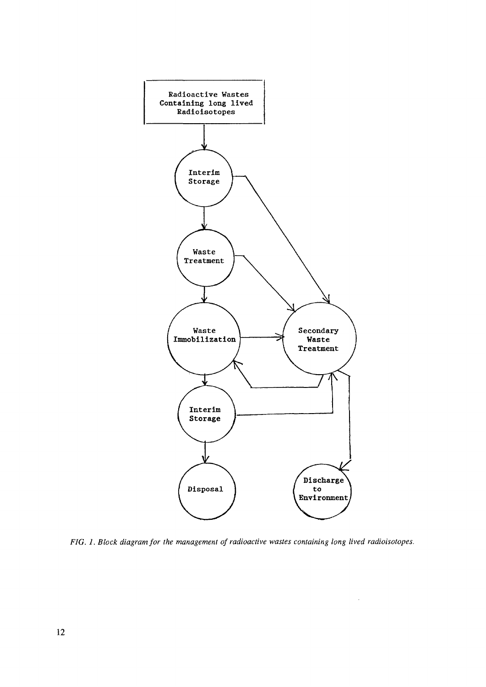

*FIG. 1. Block diagram for the management of radioactive wastes containing long lived radioisotopes.*

 $\mathcal{A}^{\mathcal{A}}$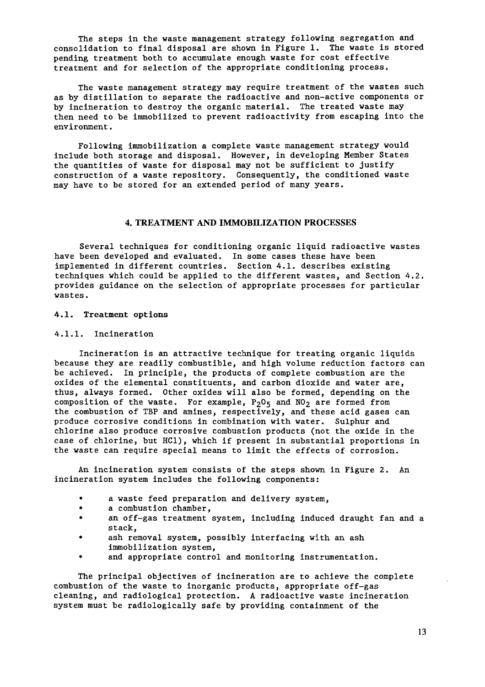The steps in the waste management strategy following segregation and consolidation to final disposal are shown in Figure 1. The waste is stored pending treatment both to accumulate enough waste for cost effective treatment and for selection of the appropriate conditioning process.

The waste management strategy may require treatment of the wastes such as by distillation to separate the radioactive and non-active components or by incineration to destroy the organic material. The treated waste may then need to be immobilized to prevent radioactivity from escaping into the environment.

Following immobilization a complete waste management strategy would include both storage and disposal. However, in developing Member States the quantities of waste for disposal may not be sufficient to justify construction of a waste repository. Consequently, the conditioned waste may have to be stored for an extended period of many years.

#### **4. TREATMENT AND IMMOBILIZATION PROCESSES**

Several techniques for conditioning organic liquid radioactive wastes have been developed and evaluated. In some cases these have been implemented in different countries. Section 4.1. describes existing techniques which could be applied to the different wastes, and Section 4.2. provides guidance on the selection of appropriate processes for particular wastes.

#### 4.1. Treatment options

#### 4.1.1. Incineration

Incineration is an attractive technique for treating organic liquids because they are readily combustible, and high volume reduction factors can be achieved. In principle, the products of complete combustion are the oxides of the elemental constituents, and carbon dioxide and water are, thus, always formed. Other oxides will also be formed, depending on the composition of the waste. For example,  $P_2O_5$  and  $NO_2$  are formed from the combustion of TBP and amines, respectively, and these acid gases can produce corrosive conditions in combination with water. Sulphur and chlorine also produce corrosive combustion products (not the oxide in the case of chlorine, but HC1), which if present in substantial proportions in the waste can require special means to limit the effects of corrosion.

An incineration system consists of the steps shown in Figure 2. An incineration system includes the following components:

- a waste feed preparation and delivery system,
- a combustion chamber,
- an off-gas treatment system, including induced draught fan and a stack,
- ash removal system, possibly interfacing with an ash immobilization system,
- and appropriate control and monitoring instrumentation.

The principal objectives of incineration are to achieve the complete combustion of the waste to inorganic products, appropriate off-gas cleaning, and radiological protection. A radioactive waste incineration system must be radiologically safe by providing containment of the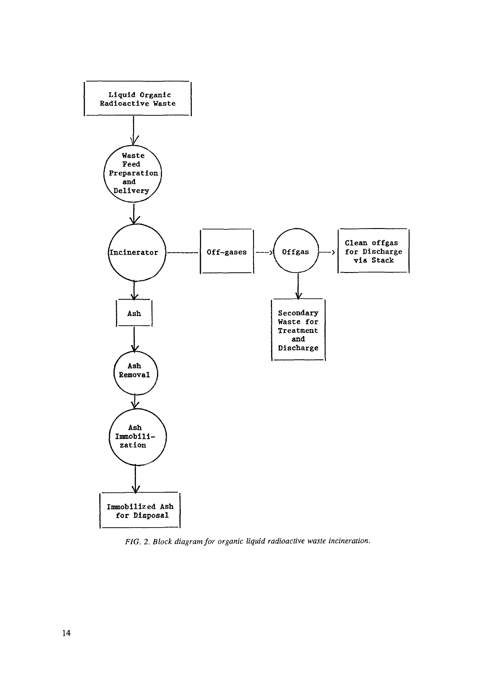

*FIG. 2. Block diagram, for organic liquid radioactive waste incineration.*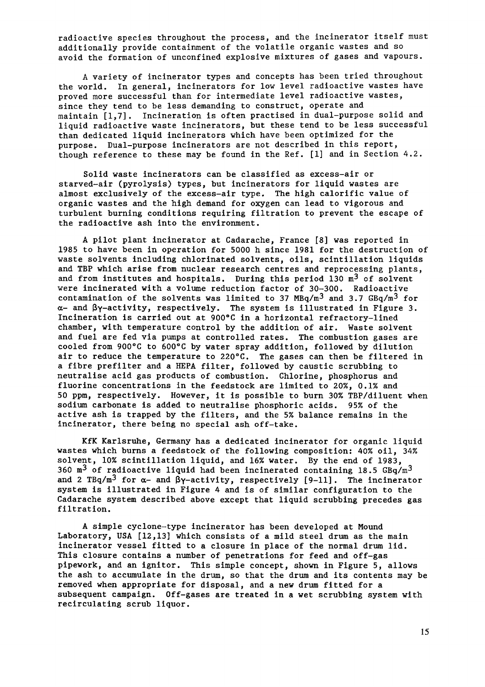radioactive species throughout the process, and the incinerator itself must additionally provide containment of the volatile organic wastes and so avoid the formation of unconfined explosive mixtures of gases and vapours.

A variety of incinerator types and concepts has been tried throughout the world. In general, incinerators for low level radioactive wastes have proved more successful than for intermediate level radioactive wastes, since they tend to be less demanding to construct, operate and maintain [1,7]. Incineration is often practised in dual-purpose solid and liquid radioactive waste incinerators, but these tend to be less successful than dedicated liquid incinerators which have been optimized for the purpose. Dual-purpose incinerators are not described in this report, though reference to these may be found in the Ref. [l] and in Section 4.2.

Solid waste incinerators can be classified as excess-air or starved-air (pyrolysis) types, but incinerators for liquid wastes are almost exclusively of the excess-air type. The high calorific value of organic wastes and the high demand for oxygen can lead to vigorous and turbulent burning conditions requiring filtration to prevent the escape of the radioactive ash into the environment.

A pilot plant incinerator at Cadarache, France [8] was reported in 1985 to have been in operation for 5000 h since 1981 for the destruction of waste solvents including chlorinated solvents, oils, scintillation liquids and TBP which arise from nuclear research centres and reprocessing plants, and from institutes and hospitals. During this period 130  $m^3$  of solvent were incinerated with a volume reduction factor of 30-300. Radioactive contamination of the solvents was limited to 37 MBq/m $^3$  and 3.7 GBq/m $^3$  for a- and *fry-activity,* respectively. The system is illustrated in Figure 3. Incineration is carried out at 900°C in a horizontal refractory-lined chamber, with temperature control by the addition of air. Waste solvent and fuel are fed via pumps at controlled rates. The combustion gases are cooled from 900°C to 600°C by water spray addition, followed by dilution air to reduce the temperature to 220°C. The gases can then be filtered in a fibre prefilter and a HEPA filter, followed by caustic scrubbing to neutralise acid gas products of combustion. Chlorine, phosphorus and fluorine concentrations in the feedstock are limited to 20%, 0.1% and 50 ppm, respectively. However, it is possible to burn 30% TBP/diluent when sodium carbonate is added to neutralise phosphoric acids. 95% of the active ash is trapped by the filters, and the 5% balance remains in the incinerator, there being no special ash off-take.

KfK Karlsruhe, Germany has a dedicated incinerator for organic liquid wastes which burns a feedstock of the following composition: 40% oil, 34% solvent, 10% scintillation liquid, and 16% water. By the end of 1983, 360  $m^3$  of radioactive liquid had been incinerated containing 18.5 GBq/m<sup>3</sup> and 2 TBq/m<sup>3</sup> for  $\alpha$ - and  $\beta$ y-activity, respectively [9-11]. The incinerator system is illustrated in Figure 4 and is of similar configuration to the Cadarache system described above except that liquid scrubbing precedes gas filtration.

A simple cyclone-type incinerator has been developed at Mound Laboratory, USA [12,13] which consists of a mild steel drum as the main incinerator vessel fitted to a closure in place of the normal drum lid. This closure contains a number of penetrations for feed and off-gas pipework, and an ignitor. This simple concept, shown in Figure 5, allows the ash to accumulate in the drum, so that the drum and its contents may be removed when appropriate for disposal, and a new drum fitted for a subsequent campaign. Off-gases are treated in a wet scrubbing system with recirculating scrub liquor.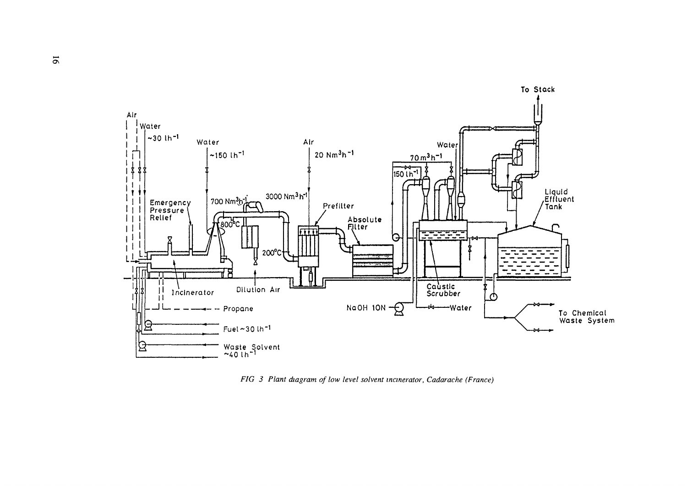

*FIG 3 Plant diagram of low level solvent incinerator, Cadarache (France)*

 $\overline{5}$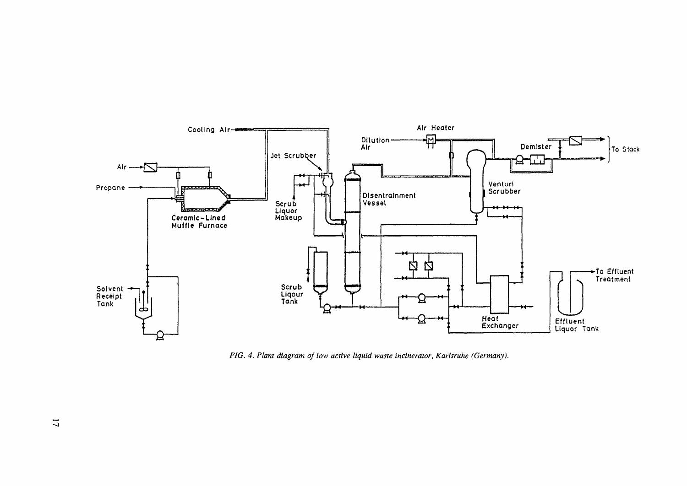

*FIG. 4. Plant diagram of low active liquid waste incinerator, Karlsruhe (Germany).*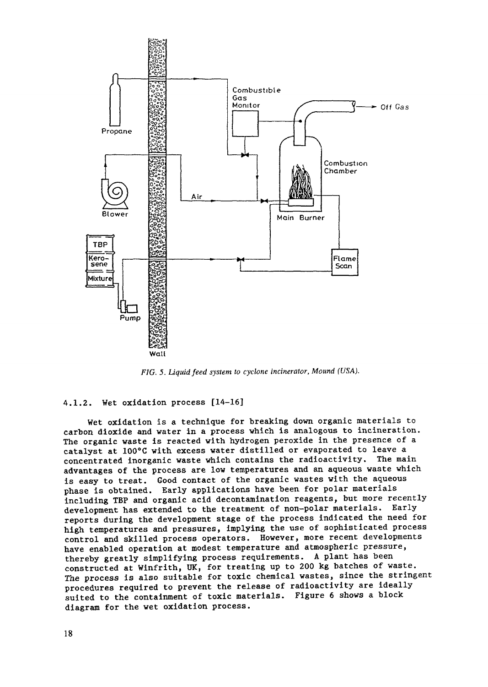

*FIG. 5. Liquid feed system to cyclone incinerator, Mound (USA).*

# 4.1.2. Wet oxidation process [14-16]

Wet oxidation is a technique for breaking down organic materials to carbon dioxide and water in a process which is analogous to incineration. The organic waste is reacted with hydrogen peroxide in the presence of a catalyst at 100°C with excess water distilled or evaporated to leave a concentrated inorganic waste which contains the radioactivity. The main advantages of the process are low temperatures and an aqueous waste which is easy to treat. Good contact of the organic wastes with the aqueous phase is obtained. Early applications have been for polar materials including TBP and organic acid decontamination reagents, but more recently development has extended to the treatment of non-polar materials. Early reports during the development stage of the process indicated the need for high temperatures and pressures, implying the use of sophisticated process control and skilled process operators. However, more recent developments have enabled operation at modest temperature and atmospheric pressure, thereby greatly simplifying process requirements. A plant has been constructed at Winfrith, UK, for treating up to 200 kg batches of waste. The process is also suitable for toxic chemical wastes, since the stringent procedures required to prevent the release of radioactivity are ideally suited to the containment of toxic materials. Figure 6 shows a block diagram for the wet oxidation process.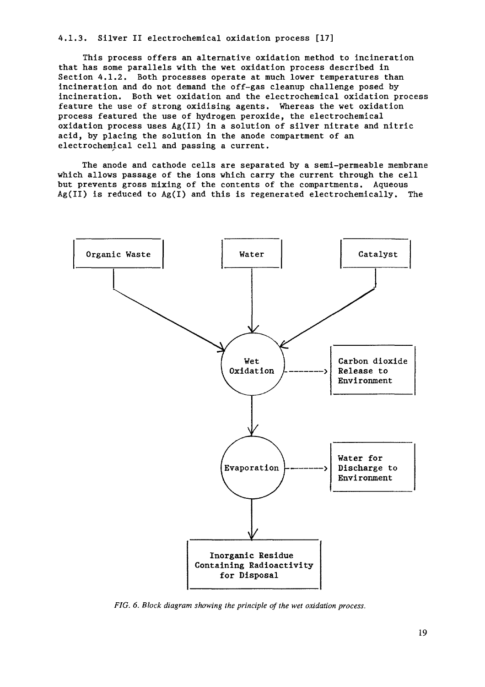4.1.3. Silver II electrochemical oxidation process [17]

This process offers an alternative oxidation method to incineration that has some parallels with the wet oxidation process described in Section 4.1.2. Both processes operate at much lower temperatures than incineration and do not demand the off-gas cleanup challenge posed by incineration. Both wet oxidation and the electrochemical oxidation process feature the use of strong oxidising agents. Whereas the wet oxidation process featured the use of hydrogen peroxide, the electrochemical oxidation process uses Ag(II) in a solution of silver nitrate and nitric acid, by placing the solution in the anode compartment of an electrochemical cell and passing a current.

The anode and cathode cells are separated by a semi-permeable membrane which allows passage of the ions which carry the current through the cell but prevents gross mixing of the contents of the compartments. Aqueous  $Ag(II)$  is reduced to  $Ag(I)$  and this is regenerated electrochemically. The



*FIG. 6. Block diagram showing the principle of the wet oxidation process.*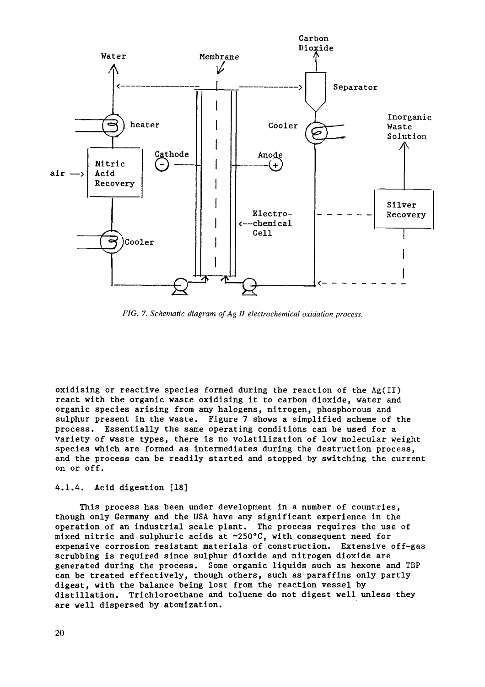

*FIG. 7. Schematic diagram of Ag II electrochemical oxidation process.*

oxidising or reactive species formed during the reaction of the Ag(II) react with the organic waste oxidising it to carbon dioxide, water and organic species arising from any halogens, nitrogen, phosphorous and sulphur present in the waste. Figure 7 shows a simplified scheme of the process. Essentially the same operating conditions can be used for a variety of waste types, there is no volatilization of low molecular weight species which are formed as intermediates during the destruction process, and the process can be readily started and stopped by switching the current on or off.

# 4.1.4. Acid digestion [18]

This process has been under development in a number of countries, though only Germany and the USA have any significant experience in the operation of an industrial scale plant. The process requires the use of mixed nitric and sulphuric acids at ~250°C, with consequent need for expensive corrosion resistant materials of construction. Extensive off-gas scrubbing is required since sulphur dioxide and nitrogen dioxide are generated during the process. Some organic liquids such as hexone and TBP can be treated effectively, though others, such as paraffins only partly digest, with the balance being lost from the reaction vessel by distillation. Trichloroethane and toluene do not digest well unless they are well dispersed by atomization.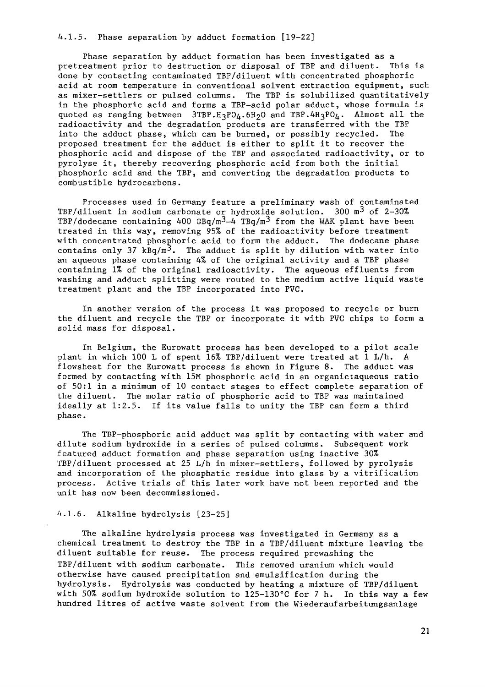4.1.5. Phase separation by adduct formation [19-22]

Phase separation by adduct formation has been investigated as a pretreatment prior to destruction or disposal of TBP and diluent. This is done by contacting contaminated TBP/diluent with concentrated phosphoric acid at room temperature in conventional solvent extraction equipment, such as mixer-settlers or pulsed columns. The TBP is solubilized quantitatively in the phosphoric acid and forms a TBP-acid polar adduct, whose formula is quoted as ranging between  $3TBP.H_3PO_0.6H_2O$  and TBP.4H<sub>3</sub>PO<sub>0</sub>. Almost all the radioactivity and the degradation products are transferred with the TBP into the adduct phase, which can be burned, or possibly recycled. The proposed treatment for the adduct is either to split it to recover the phosphoric acid and dispose of the TBP and associated radioactivity, or to pyrolyse it, thereby recovering phosphoric acid from both the initial phosphoric acid and the TBP, and converting the degradation products to combustible hydrocarbons.

Processes used in Germany feature a preliminary wash of contaminated TBP/diluent in sodium carbonate or hydroxide solution. 300  $m^3$  of 2-30% TBP/dodecane containing 400  $GBq/m^3-4$  TBq/m<sup>3</sup> from the WAK plant have been treated in this way, removing 95% of the radioactivity before treatment with concentrated phosphoric acid to form the adduct. The dodecane phase contains only 37 kBq/m<sup>3</sup>. The adduct is split by dilution with water into an aqueous phase containing 4% of the original activity and a TBP phase containing 1% of the original radioactivity. The aqueous effluents from washing and adduct splitting were routed to the medium active liquid waste treatment plant and the TBP incorporated into PVC.

In another version of the process it was proposed to recycle or burn the diluent and recycle the TBP or incorporate it with PVC chips to form a solid mass for disposal.

In Belgium, the Eurowatt process has been developed to a pilot scale plant in which 100 L of spent 16% TBP/diluent were treated at 1 L/h. A flowsheet for the Eurowatt process is shown in Figure 8. The adduct was formed by contacting with 15M phosphoric acid in an organic:aqueous ratio of 50:1 in a minimum of 10 contact stages to effect complete separation of the diluent. The molar ratio of phosphoric acid to TBP was maintained ideally at 1:2.5. If its value falls to unity the TBP can form a third phase.

The TBP-phosphoric acid adduct was split by contacting with water and dilute sodium hydroxide in a series of pulsed columns. Subsequent work featured adduct formation and phase separation using inactive 30% TBP/diluent processed at 25 L/h in mixer-settlers, followed by pyrolysis and incorporation of the phosphatic residue into glass by a vitrification process. Active trials of this later work have not been reported and the unit has now been decommissioned.

# 4.1.6. Alkaline hydrolysis [23-25]

The alkaline hydrolysis process was investigated in Germany as a chemical treatment to destroy the TBP in a TBP/diluent mixture leaving the diluent suitable for reuse. The process required prewashing the TBP/diluent with sodium carbonate. This removed uranium which would otherwise have caused precipitation and emulsification during the hydrolysis. Hydrolysis was conducted by heating a mixture of TBP/diluent with 50% sodium hydroxide solution to 125-130°C for 7 h. In this way a few hundred litres of active waste solvent from the Wiederaufarbeitungsanlage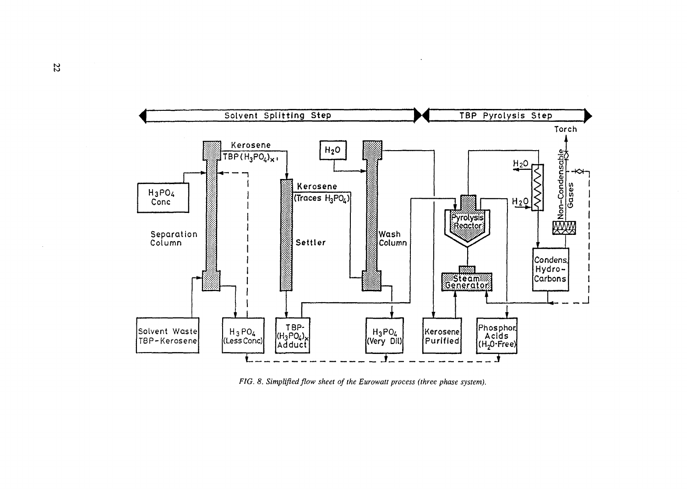

*FIG. 8. Simplified flow sheet of the Eurowatt process (three phase system).*

 $\mathcal{L}_{\mathcal{A}}$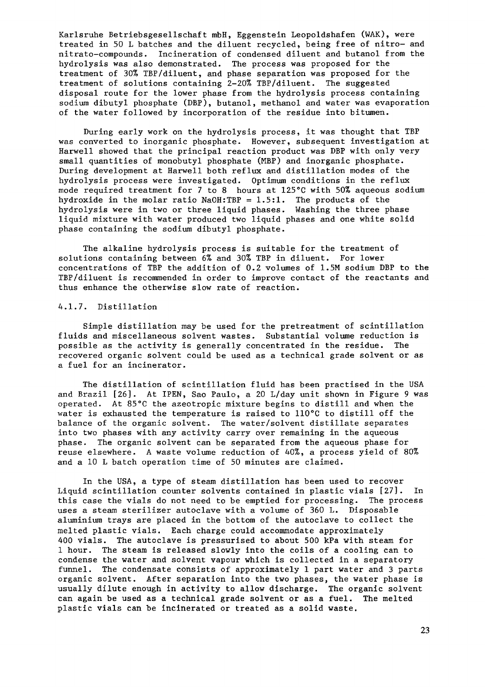Karlsruhe Betriebsgesellschaft mbH, Eggenstein Leopoldshafen (WAK), were treated in 50 L batches and the diluent recycled, being free of nitro- and nitrato-compounds. Incineration of condensed diluent and butanol from the hydrolysis was also demonstrated. The process was proposed for the treatment of 30% TBP/diluent, and phase separation was proposed for the treatment of solutions containing 2-20% TBP/diluent. The suggested disposal route for the lower phase from the hydrolysis process containing sodium dibutyl phosphate (DBF), butanol, methanol and water was evaporation of the water followed by incorporation of the residue into bitumen.

During early work on the hydrolysis process, it was thought that TBP was converted to inorganic phosphate. However, subsequent investigation at Harwell showed that the principal reaction product was DBF with only very small quantities of monobutyl phosphate (MBP) and inorganic phosphate. During development at Harwell both reflux and distillation modes of the hydrolysis process were investigated. Optimum conditions in the reflux mode required treatment for 7 to 8 hours at 125°C with 50% aqueous sodium hydroxide in the molar ratio  $NaOH:TBP = 1.5:1$ . The products of the hydrolysis were in two or three liquid phases. Washing the three phase liquid mixture with water produced two liquid phases and one white solid phase containing the sodium dibutyl phosphate.

The alkaline hydrolysis process is suitable for the treatment of solutions containing between 6% and 30% TBP in diluent. For lower concentrations of TBP the addition of 0.2 volumes of 1.5M sodium DBP to the TBP/diluent is recommended in order to improve contact of the reactants and thus enhance the otherwise slow rate of reaction.

# 4.1.7. Distillation

Simple distillation may be used for the pretreatment of scintillation fluids and miscellaneous solvent wastes. Substantial volume reduction is possible as the activity is generally concentrated in the residue. The recovered organic solvent could be used as a technical grade solvent or as a fuel for an incinerator.

The distillation of scintillation fluid has been practised in the USA and Brazil [26]. At IPEN, Sao Paulo, a 20 L/day unit shown in Figure 9 was operated. At 85°C the azeotropic mixture begins to distill and when the water is exhausted the temperature is raised to 110°C to distill off the balance of the organic solvent. The water/solvent distillate separates into two phases with any activity carry over remaining in the aqueous phase. The organic solvent can be separated from the aqueous phase for reuse elsewhere. A waste volume reduction of 40%, a process yield of 80% and a 10 L batch operation time of 50 minutes are claimed.

In the USA, a type of steam distillation has been used to recover Liquid scintillation counter solvents contained in plastic vials [27]. In this case the vials do not need to be emptied for processing. The process uses a steam sterilizer autoclave with a volume of 360 L. Disposable aluminium trays are placed in the bottom of the autoclave to collect the melted plastic vials. Each charge could accommodate approximately 400 vials. The autoclave is pressurised to about 500 kPa with steam for 1 hour. The steam is released slowly into the coils of a cooling can to condense the water and solvent vapour which is collected in a separatory funnel. The condensate consists of approximately 1 part water and 3 parts organic solvent. After separation into the two phases, the water phase is usually dilute enough in activity to allow discharge. The organic solvent can again be used as a technical grade solvent or as a fuel. The melted plastic vials can be incinerated or treated as a solid waste.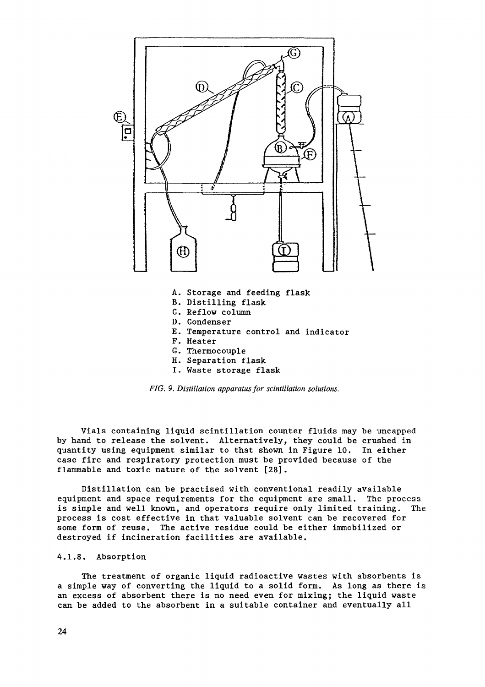

- E. Temperature control and indicator
- F. Heater
- G. Thermocouple
- H. Separation flask
- I. Waste storage flask

*FIG. 9. Distillation apparatus for scintillation solutions.*

Vials containing liquid scintillation counter fluids may be uncapped by hand to release the solvent. Alternatively, they could be crushed in quantity using equipment similar to that shown in Figure 10. In either case fire and respiratory protection must be provided because of the flammable and toxic nature of the solvent [28].

Distillation can be practised with conventional readily available equipment and space requirements for the equipment are small. The process is simple and well known, and operators require only limited training. The process is cost effective in that valuable solvent can be recovered for some form of reuse. The active residue could be either immobilized or destroyed if incineration facilities are available.

# 4.1.8. Absorption

The treatment of organic liquid radioactive wastes with absorbents is a simple way of converting the liquid to a solid form. As long as there is an excess of absorbent there is no need even for mixing; the liquid waste can be added to the absorbent in a suitable container and eventually all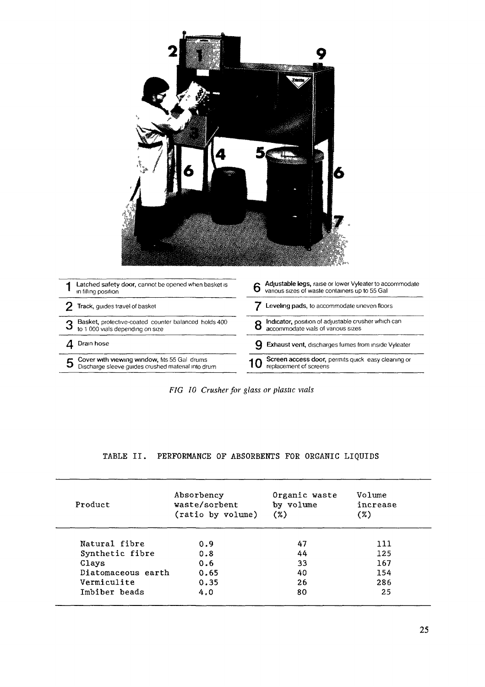| Latched safety door, cannot be opened when basket is<br>in filling position | Adjustable legs, raise or lower Vyleater to accommodate<br>6<br>various sizes of waste containers up to 55 Gal |
|-----------------------------------------------------------------------------|----------------------------------------------------------------------------------------------------------------|
| 2<br>Track, guides travel of basket                                         | Leveling pads, to accommodate uneven floors                                                                    |
| Basket, protective-coated counter balanced holds 400                        | Indicator, position of adjustable crusher which can<br>8<br>accommodate vials of various sizes                 |
| 3<br>to 1 000 vials depending on size                                       |                                                                                                                |
| Drain hose<br>4                                                             | 9<br>Exhaust vent, discharges fumes from inside Vyleater                                                       |

*FIG 10 Crusher for glass or plastic vials*

# TABLE II. PERFORMANCE OF ABSORBENTS FOR ORGANIC LIQUIDS

| Product            | Absorbency<br>waste/sorbent<br>(ratio by volume) | Organic waste<br>by volume<br>(%) | Volume<br>increase<br>(%) |
|--------------------|--------------------------------------------------|-----------------------------------|---------------------------|
| Natural fibre      | 0.9                                              | 47                                | 111                       |
| Synthetic fibre    | 0.8                                              | 44                                | 125                       |
| Clays              | 0.6                                              | 33                                | 167                       |
| Diatomaceous earth | 0.65                                             | 40                                | 154                       |
| Vermiculite        | 0.35                                             | 26                                | 286                       |
| Imbiber beads      | 4.0                                              | 80                                | 25                        |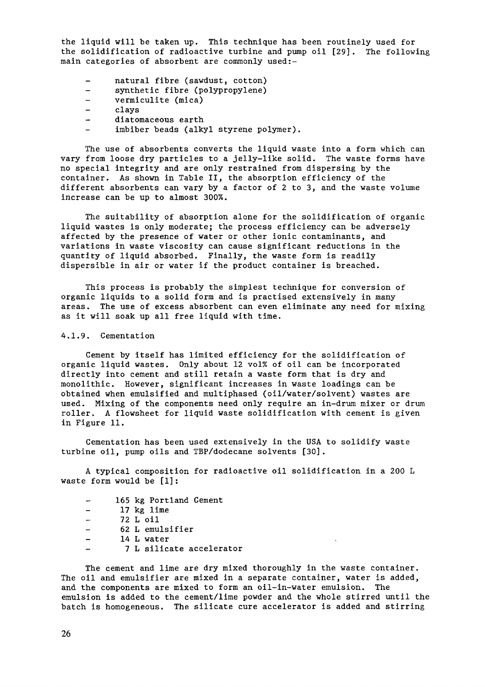the liquid will be taken up. This technique has been routinely used for the solidification of radioactive turbine and pump oil [29] . The following main categories of absorbent are commonly used:-

- natural fibre (sawdust, cotton)  $\qquad \qquad -$
- $\qquad \qquad$ synthetic fibre (polypropylene)
- $\overline{\phantom{a}}$ vermiculite (mica)
- $\qquad \qquad$ clays
- $\overline{\phantom{a}}$ diatomaceous earth
- imbiber beads (alkyl styrène polymer).

The use of absorbents converts the liquid waste into a form which can vary from loose dry particles to a jelly-like solid. The waste forms have no special integrity and are only restrained from dispersing by the container. As shown in Table II, the absorption efficiency of the different absorbents can vary by a factor of 2 to 3, and the waste volume increase can be up to almost 300%.

The suitability of absorption alone for the solidification of organic liquid wastes is only moderate; the process efficiency can be adversely affected by the presence of water or other ionic contaminants, and variations in waste viscosity can cause significant reductions in the quantity of liquid absorbed. Finally, the waste form is readily dispersible in air or water if the product container is breached.

This process is probably the simplest technique for conversion of organic liquids to a solid form and is practised extensively in many areas. The use of excess absorbent can even eliminate any need for mixing as it will soak up all free liquid with time.

# 4.1.9. Cementation

Cement by itself has limited efficiency for the solidification of organic liquid wastes. Only about 12 vol% of oil can be incorporated directly into cement and still retain a waste form that is dry and monolithic. However, significant increases in waste loadings can be obtained when emulsified and multiphased (oil/water/solvent) wastes are used. Mixing of the components need only require an in-drum mixer or drum roller. A flowsheet for liquid waste solidification with cement is given in Figure 11.

Cementation has been used extensively in the USA to solidify waste turbine oil, pump oils and TBP/dodecane solvents [30].

A typical composition for radioactive oil solidification in a 200 L waste form would be [1]:

- 165 kg Portland Cement  $\overline{\phantom{0}}$
- 17 kg lime  $\equiv$
- $\overline{\phantom{a}}$ 72 L oil
- $\overline{\phantom{a}}$ 62 L emulsifier
- $\overline{a}$ 14 L water
- 7 L silicate accelerator

The cement and lime are dry mixed thoroughly in the waste container. The oil and emulsifier are mixed in a separate container, water is added, and the components are mixed to form an oil-in-water emulsion. The emulsion is added to the cement/lime powder and the whole stirred until the batch is homogeneous. The silicate cure accelerator is added and stirring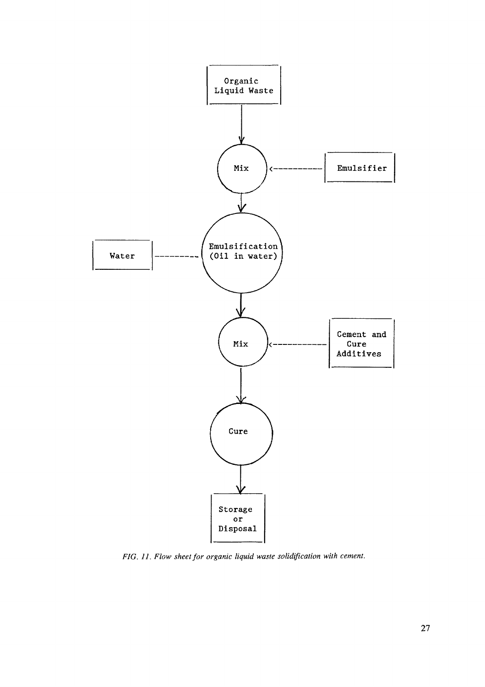

*FIG. 11. Flow sheet for organic liquid waste solidification with cement.*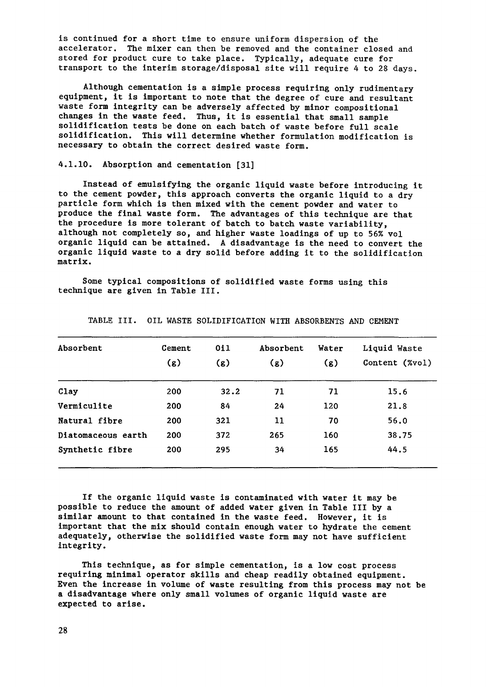is continued for a short time to ensure uniform dispersion of the accelerator. The mixer can then be removed and the container closed and stored for product cure to take place. Typically, adequate cure for transport to the interim storage/disposal site will require 4 to 28 days.

Although cementation is a simple process requiring only rudimentary equipment, it is important to note that the degree of cure and resultant waste form integrity can be adversely affected by minor compositional changes in the waste feed. Thus, it is essential that small sample solidification tests be done on each batch of waste before full scale solidification. This will determine whether formulation modification is necessary to obtain the correct desired waste form.

# 4.1.10. Absorption and cementation [31]

Instead of emulsifying the organic liquid waste before introducing it to the cement powder, this approach converts the organic liquid to a dry particle form which is then mixed with the cement powder and water to produce the final waste form. The advantages of this technique are that the procedure is more tolerant of batch to batch waste variability, although not completely so, and higher waste loadings of up to 56% vol organic liquid can be attained. A disadvantage is the need to convert the organic liquid waste to a dry solid before adding it to the solidification matrix.

Some typical compositions of solidified waste forms using this technique are given in Table III.

| Absorbent          | Cement | 011  | Absorbent | Water | Liquid Waste   |
|--------------------|--------|------|-----------|-------|----------------|
|                    | (g)    | (g)  | (g)       | (g)   | Content (%vol) |
| Clay               | 200    | 32.2 | 71        | 71    | 15.6           |
| Vermiculite        | 200    | 84   | 24        | 120   | 21.8           |
| Natural fibre      | 200    | 321  | 11        | 70    | 56.0           |
| Diatomaceous earth | 200    | 372  | 265       | 160   | 38.75          |
| Synthetic fibre    | 200    | 295  | 34        | 165   | 44.5           |

TABLE III. OIL WASTE SOLIDIFICATION WITH ABSORBENTS AND CEMENT

If the organic liquid waste is contaminated with water it may be possible to reduce the amount of added water given in Table III by a similar amount to that contained in the waste feed. However, it is important that the mix should contain enough water to hydrate the cement adequately, otherwise the solidified waste form may not have sufficient integrity.

This technique, as for simple cementation, is a low cost process requiring minimal operator skills and cheap readily obtained equipment. Even the increase in volume of waste resulting from this process may not be a disadvantage where only small volumes of organic liquid waste are expected to arise.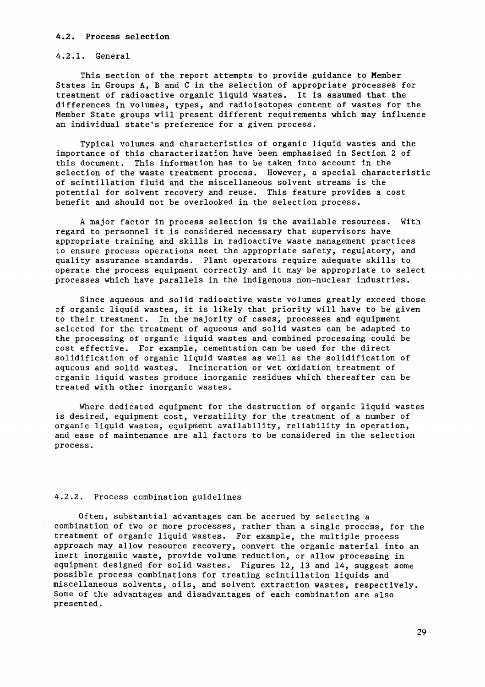#### **4.2. Process selection**

#### 4.2.1. General

This section of the report attempts to provide guidance to Member States in Groups A, B and C in the selection of appropriate processes for treatment of radioactive organic liquid wastes. It is assumed that the differences in volumes, types, and radioisotopes content of wastes for the Member State groups will present different requirements which may influence an individual state's preference for a given process.

Typical volumes and characteristics of organic liquid wastes and the importance of this characterization have been emphasised in Section 2 of this document. This information has to be taken into account in the selection of the waste treatment process. However, a special characteristic of scintillation fluid and the miscellaneous solvent streams is the potential for solvent recovery and reuse. This feature provides a cost benefit and should not be overlooked in the selection process.

A major factor in process selection is the available resources. With regard to personnel it is considered necessary that supervisors have appropriate training and skills in radioactive waste management practices to ensure process operations meet the appropriate safety, regulatory, and quality assurance standards. Plant operators require adequate skills to operate the process equipment correctly and it may be appropriate to select processes which have parallels in the indigenous non-nuclear industries.

Since aqueous and solid radioactive waste volumes greatly exceed those of organic liquid wastes, it is likely that priority will have to be given to their treatment. In the majority of cases, processes and equipment selected for the treatment of aqueous and solid wastes can be adapted to the processing of organic liquid wastes and combined processing could be cost effective. For example, cementation can be used for the direct solidification of organic liquid wastes as well as the solidification of aqueous and solid wastes. Incineration or wet oxidation treatment of organic liquid wastes produce inorganic residues which thereafter can be treated with other inorganic wastes.

Where dedicated equipment for the destruction of organic liquid wastes is desired, equipment cost, versatility for the treatment of a number of organic liquid wastes, equipment availability, reliability in operation, and ease of maintenance are all factors to be considered in the selection process.

#### 4.2.2. Process combination guidelines

Often, substantial advantages can be accrued by selecting a combination of two or more processes, rather than a single process, for the treatment of organic liquid wastes. For example, the multiple process approach may allow resource recovery, convert the organic material into an inert inorganic waste, provide volume reduction, or allow processing in equipment designed for solid wastes. Figures 12, 13 and 14, suggest some possible process combinations for treating scintillation liquids and miscellaneous solvents, oils, and solvent extraction wastes, respectively. Some of the advantages and disadvantages of each combination are also presented.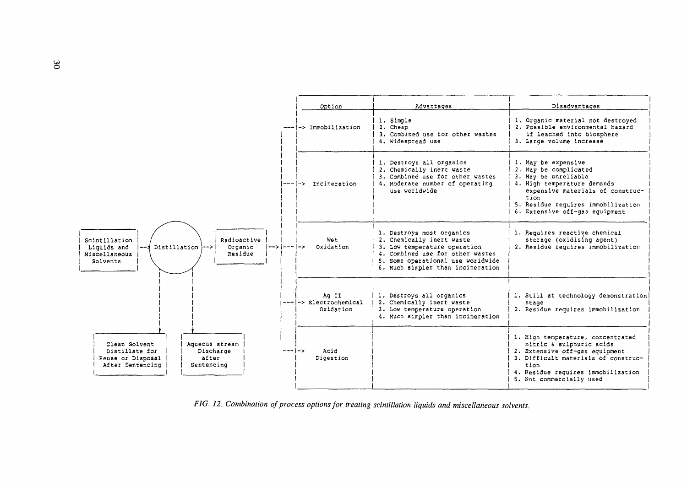

*FIG. 12. Combination of process options for treating scintillation liquids and miscellaneous solvents.*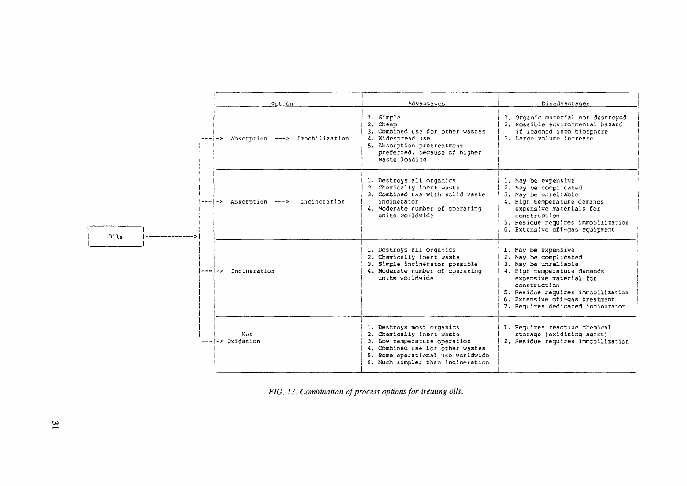|      |  | Option                                  | Advantages                                                                                                                                                                                           | Disadvantages                                                                                                                                                                                                                                              |
|------|--|-----------------------------------------|------------------------------------------------------------------------------------------------------------------------------------------------------------------------------------------------------|------------------------------------------------------------------------------------------------------------------------------------------------------------------------------------------------------------------------------------------------------------|
|      |  | -> Absorption ---> Immobilization       | 1. Simple<br>2. Cheap<br>3. Combined use for other wastes<br>4. Widespread use<br>5. Absorption pretreatment<br>preferred, because of higher<br>waste loading                                        | 1. Organic material not destroyed<br>2. Possible environmental hazard<br>if leached into biosphere<br>3. Large volume increase                                                                                                                             |
| Oils |  | $--- ->$ Absorption $--->$ Incineration | 1. Destroys all organics<br>2. Chemically inert waste<br>3. Combined use with solid waste<br>incinerator<br>4. Moderate number of operating<br>units worldwide                                       | 1. May be expensive<br>2. May be complicated<br>3. May be unreliable<br>4. High temperature demands<br>expensive materials for<br>construction<br>5. Residue requires immobilization<br>6. Extensive off-gas equipment                                     |
|      |  | ------> Incineration                    | 1. Destroys all organics<br>2. Chemically inert waste<br>3. Simple incinerator possible<br>4. Moderate number of operating<br>units worldwide                                                        | 1. May be expensive<br>2. May be complicated<br>3. May be unreliable<br>4. High temperature demands<br>expensive material for<br>construction<br>5. Residue requires immobilization<br>6. Extensive off-gas treatment<br>7. Requires dedicated incinerator |
|      |  | Wet<br>$--- ->$ Oxidation               | 1. Destroys most organics<br>2. Chemically inert waste<br>3. Low temperature operation<br>4. Combined use for other wastes<br>5. Some operational use worldwide<br>6. Much simpler than incineration | 1. Requires reactive chemical<br>storage (oxidising agent)<br>2. Residue requires immobilization                                                                                                                                                           |

*FIG. 13. Combination of process options for treating oils.*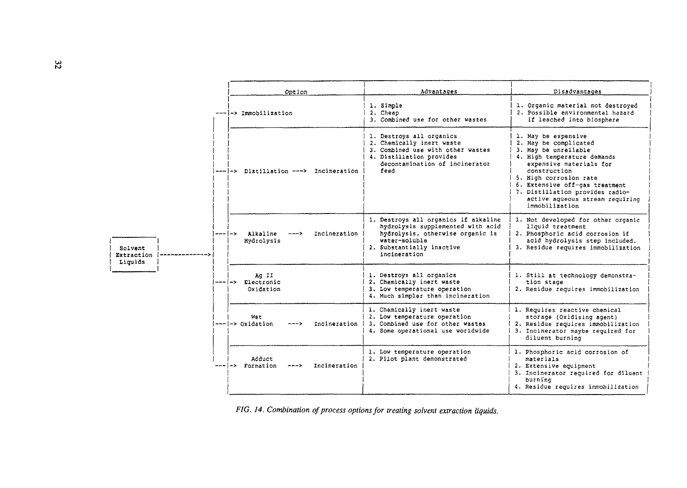|                                  |                      | Option                                                  | Advantages                                                                                                                                                                  | Disadvantages                                                                                                                                                                                                                                                                                      |
|----------------------------------|----------------------|---------------------------------------------------------|-----------------------------------------------------------------------------------------------------------------------------------------------------------------------------|----------------------------------------------------------------------------------------------------------------------------------------------------------------------------------------------------------------------------------------------------------------------------------------------------|
|                                  |                      | --- -> Immobilization                                   | 1. Simple<br>2. Cheap<br>3. Combined use for other wastes                                                                                                                   | 1. Organic material not destroyed<br>2. Possible environmental hazard<br>if leached into biosphere                                                                                                                                                                                                 |
|                                  | $\rightarrow$<br>--- | --- -> Distillation ---> Incineration                   | 1. Destroys all organics<br>2. Chemically inert waste<br>3. Combined use with other wastes<br>4. Distillation provides<br>decontamination of incinerator<br>feed            | 1. May be expensive<br>2. May be complicated<br>3. May be unreliable<br>4. High temperature demands<br>expensive materials for<br>construction<br>5. High corrosion rate<br>6. Extensive off-gas treatment<br>7. Distillation provides radio-<br>active aqueous stream requiring<br>immobilization |
| Solvent<br>Extraction<br>Liquids |                      | Alkaline<br>Incineration<br>$\rightarrow$<br>Hydrolysis | 1. Destroys all organics if alkaline<br>hydrolysis supplemented with acid<br>hydrolysis, otherwise organic is<br>water-soluble<br>2. Substantially inactive<br>incineration | 1. Not developed for other organic<br>liquid treatment<br>2. Phosphoric acid corrosion if<br>acid hydrolysis step included.<br>3. Residue requires immobilization                                                                                                                                  |
|                                  | ا – –                | Ag II<br>-> Electronic<br>Oxidation                     | 1. Destroys all organics<br>2. Chemically inert waste<br>3. Low temperature operation<br>4. Much simpler than incineration                                                  | 1. Still at technology demonstra-<br>tion stage<br>2. Residue requires immobilization                                                                                                                                                                                                              |
|                                  |                      | Wet<br>$--- ->$ Oxidation<br>Incineration<br>--->       | 1. Chemically inert waste<br>2. Low temperature operation<br>3. Combined use for other wastes<br>4. Some operational use worldwide                                          | 1. Requires reactive chemical<br>storage (Oxidising agent)<br>2. Residue requires immobilization<br>3. Incinerator maybe required for<br>diluent burning                                                                                                                                           |
|                                  |                      | Adduct<br>Incineration<br>-> Formation                  | 1. Low temperature operation<br>2. Pilot plant demonstrated                                                                                                                 | 1. Phosphoric acid corrosion of<br>materials<br>2. Extensive equipment<br>3. Incinerator required for diluent<br>burning<br>4. Residue requires immobilization                                                                                                                                     |

*FIG. 14. Combination of process options for treating solvent extraction liquids.*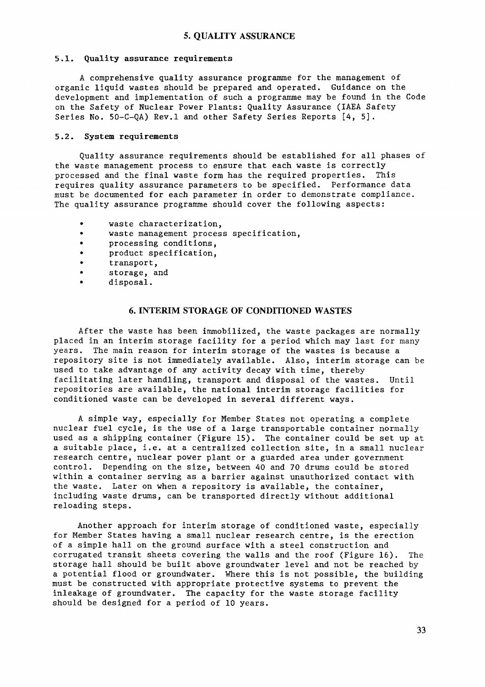#### **5.1. Quality assurance requirements**

A comprehensive quality assurance programme for the management of organic liquid wastes should be prepared and operated. Guidance on the development and implementation of such a programme may be found in the Code on the Safety of Nuclear Power Plants: Quality Assurance (IAEA Safety Series No. 50-C-QA) Rev.l and other Safety Series Reports [4, 5].

#### **5.2. System requirements**

Quality assurance requirements should be established for all phases of the waste management process to ensure that each waste is correctly processed and the final waste form has the required properties. This requires quality assurance parameters to be specified. Performance data must be documented for each parameter in order to demonstrate compliance. The quality assurance programme should cover the following aspects:

- waste characterization,<br>• waste management proces
- waste management process specification,
- processing conditions,
- product specification,
- transport,
- storage, and
- disposal.

#### **6. INTERIM STORAGE OF CONDITIONED** WASTES

After the waste has been immobilized, the waste packages are normally placed in an interim storage facility for a period which may last for many years. The main reason for interim storage of the wastes is because a repository site is not immediately available. Also, interim storage can be used to take advantage of any activity decay with time, thereby facilitating later handling, transport and disposal of the wastes. Until repositories are available, the national interim storage facilities for conditioned waste can be developed in several different ways.

A simple way, especially for Member States not operating a complete nuclear fuel cycle, is the use of a large transportable container normally used as a shipping container (Figure 15). The container could be set up at a suitable place, i.e. at a centralized collection site, in a small nuclear research centre, nuclear power plant or a guarded area under government control. Depending on the size, between 40 and 70 drums could be stored within a container serving as a barrier against unauthorized contact with the waste. Later on when a repository is available, the container, including waste drums, can be transported directly without additional reloading steps.

Another approach for interim storage of conditioned waste, especially for Member States having a small nuclear research centre, is the erection of a simple hall on the ground surface with a steel construction and corrugated transit sheets covering the walls and the roof (Figure 16). The storage hall should be built above groundwater level and not be reached by a potential flood or groundwater. Where this is not possible, the building must be constructed with appropriate protective systems to prevent the inleakage of groundwater. The capacity for the waste storage facility should be designed for a period of 10 years.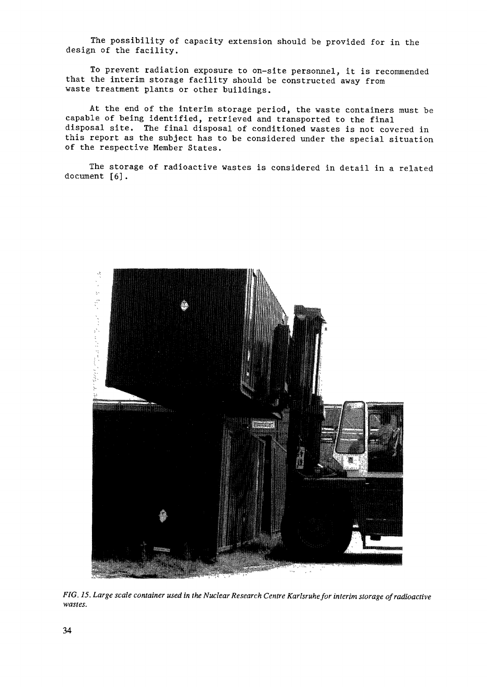The possibility of capacity extension should be provided for in the design of the facility.

To prevent radiation exposure to on-site personnel, it is recommended that the interim storage facility should be constructed away from waste treatment plants or other buildings.

At the end of the interim storage period, the waste containers must be capable of being identified, retrieved and transported to the final disposal site. The final disposal of conditioned wastes is not covered in this report as the subject has to be considered under the special situation of the respective Member States.

The storage of radioactive wastes is considered in detail in a related document [6].



*FIG. 15. Large scale container used in the Nuclear Research Centre Karlsruhe for interim storage of radioactive wastes.*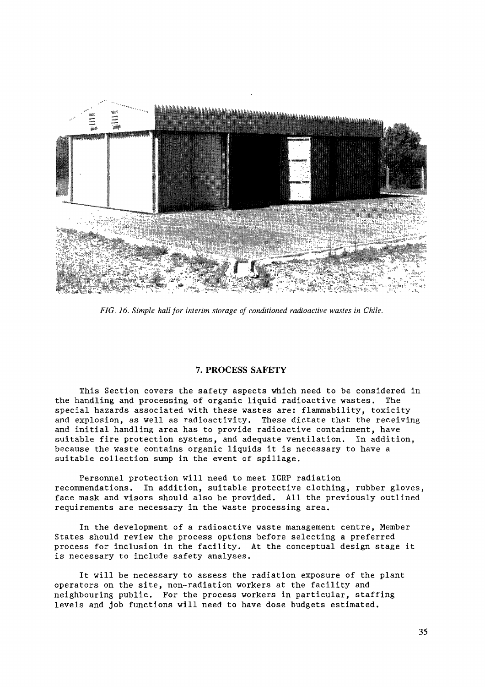

*FIG. 16. Simple hall for interim storage of conditioned radioactive wastes in Chile.*

# **7. PROCESS SAFETY**

This Section covers the safety aspects which need to be considered in the handling and processing of organic liquid radioactive wastes. The special hazards associated with these wastes are: flammability, toxicity and explosion, as well as radioactivity. These dictate that the receiving and initial handling area has to provide radioactive containment, have suitable fire protection systems, and adequate ventilation. In addition, because the waste contains organic liquids it is necessary to have a suitable collection sump in the event of spillage.

Personnel protection will need to meet ICRP radiation recommendations. In addition, suitable protective clothing, rubber gloves, face mask and visors should also be provided. All the previously outlined requirements are necessary in the waste processing area.

In the development of a radioactive waste management centre, Member States should review the process options before selecting a preferred process for inclusion in the facility. At the conceptual design stage it is necessary to include safety analyses.

It will be necessary to assess the radiation exposure of the plant operators on the site, non-radiation workers at the facility and neighbouring public. For the process workers in particular, staffing levels and job functions will need to have dose budgets estimated.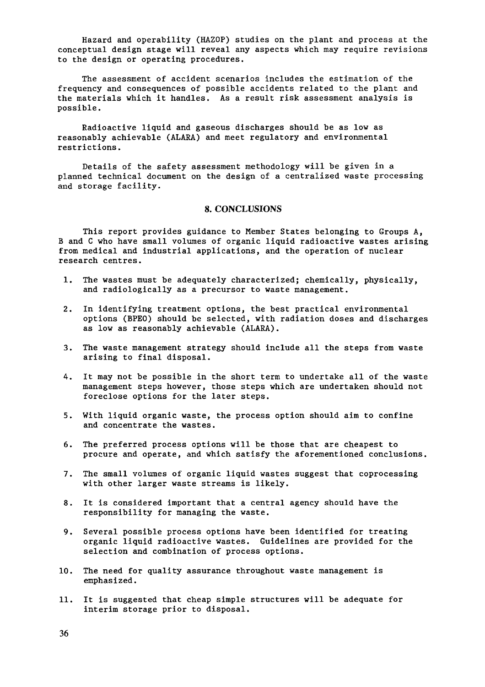Hazard and operability (HAZOP) studies on the plant and process at the conceptual design stage will reveal any aspects which may require revisions to the design or operating procedures.

The assessment of accident scenarios includes the estimation of the frequency and consequences of possible accidents related to the plant and the materials which it handles. As a result risk assessment analysis is possible.

Radioactive liquid and gaseous discharges should be as low as reasonably achievable (ALARA) and meet regulatory and environmental restrictions.

Details of the safety assessment methodology will be given in a planned technical document on the design of a centralized waste processing and storage facility.

#### **8. CONCLUSIONS**

This report provides guidance to Member States belonging to Groups A, B and C who have small volumes of organic liquid radioactive wastes arising from medical and industrial applications, and the operation of nuclear research centres.

- 1. The wastes must be adequately characterized; chemically, physically, and radiologically as a precursor to waste management.
- 2. In identifying treatment options, the best practical environmental options (BPEO) should be selected, with radiation doses and discharges as low as reasonably achievable (ALARA).
- 3. The waste management strategy should include all the steps from waste arising to final disposal.
- 4. It may not be possible in the short term to undertake all of the waste management steps however, those steps which are undertaken should not foreclose options for the later steps.
- 5. With liquid organic waste, the process option should aim to confine and concentrate the wastes.
- 6. The preferred process options will be those that are cheapest to procure and operate, and which satisfy the aforementioned conclusions.
- 7. The small volumes of organic liquid wastes suggest that coprocessing with other larger waste streams is likely.
- 8. It is considered important that a central agency should have the responsibility for managing the waste.
- 9. Several possible process options have been identified for treating organic liquid radioactive wastes. Guidelines are provided for the selection and combination of process options.
- 10. The need for quality assurance throughout waste management is emphasized.
- 11. It is suggested that cheap simple structures will be adequate for interim storage prior to disposal.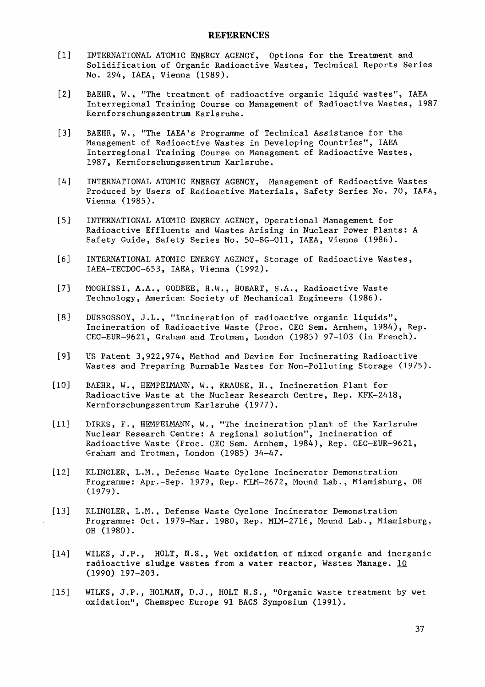- [1] INTERNATIONAL ATOMIC ENERGY AGENCY, Options for the Treatment and Solidification of Organic Radioactive Wastes, Technical Reports Series No. 294, IAEA, Vienna (1989).
- [2] BAEHR, W., "The treatment of radioactive organic liquid wastes", IAEA Interregional Training Course on Management of Radioactive Wastes, 1987 Kernforschungszentrum Karlsruhe.
- [3] BAEHR, W., "The IAEA's Programme of Technical Assistance for the Management of Radioactive Wastes in Developing Countries", IAEA Interregional Training Course on Management of Radioactive Wastes, 1987, Kernforschungszentrum Karlsruhe.
- [4] INTERNATIONAL ATOMIC ENERGY AGENCY, Management of Radioactive Wastes Produced by Users of Radioactive Materials, Safety Series No. 70, IAEA, Vienna (1985).
- [5] INTERNATIONAL ATOMIC ENERGY AGENCY, Operational Management for Radioactive Effluents and Wastes Arising in Nuclear Power Plants: A Safety Guide, Safety Series No. 50-SG-011, IAEA, Vienna (1986).
- [6] INTERNATIONAL ATOMIC ENERGY AGENCY, Storage of Radioactive Wastes, IAEA-TECDOC-653, IAEA, Vienna (1992).
- [7] MOGHISSI, A.A., GODBEE, H.W., HOBART, S.A., Radioactive Waste Technology, American Society of Mechanical Engineers (1986).
- [8] DUSSOSSOY, J.L., "Incineration of radioactive organic liquids", Incineration of Radioactive Waste (Proc. CEC Sem. Arnhem, 1984), Rep. CEC-EUR-9621, Graham and Trotman, London (1985) 97-103 (in French).
- [9] US Patent 3,922,974, Method and Device for Incinerating Radioactive Wastes and Preparing Burnable Wastes for Non-Polluting Storage (1975).
- [10] BAEHR, W., HEMPELMANN, W., KRAUSE, H., Incineration Plant for Radioactive Waste at the Nuclear Research Centre, Rep. KFK—2418, Kernforschungszentrum Karlsruhe (1977).
- Ill] DIRKS, F., HEMPELMANN, W., "The incineration plant of the Karlsruhe Nuclear Research Centre: A regional solution", Incineration of Radioactive Waste (Proc. CEC Sem. Arnhem, 1984), Rep. CEC-EUR-9621, Graham and Trotman, London (1985) 34-47.
- [12] KLINGLER, L.M., Defense Waste Cyclone Incinerator Demonstration Programme: Apr.-Sep. 1979, Rep. MLM-2672, Mound Lab., Miamisburg, OH (1979).
- [13] KLINGLER, L.M., Defense Waste Cyclone Incinerator Demonstration Programme: Oct. 1979-Mar. 1980, Rep. MLM-2716, Mound Lab., Miamisburg, OH (1980).
- [14] WILKS, J.P., HOLT, N.S., Wet oxidation of mixed organic and inorganic radioactive sludge wastes from a water reactor, Wastes Manage.  $\underline{10}$ (1990) 197-203.
- [15] WILKS, J.P., HOLMAN, D.J., HOLT N.S., "Organic waste treatment by wet oxidation", Chemspec Europe 91 BAGS Symposium (1991).